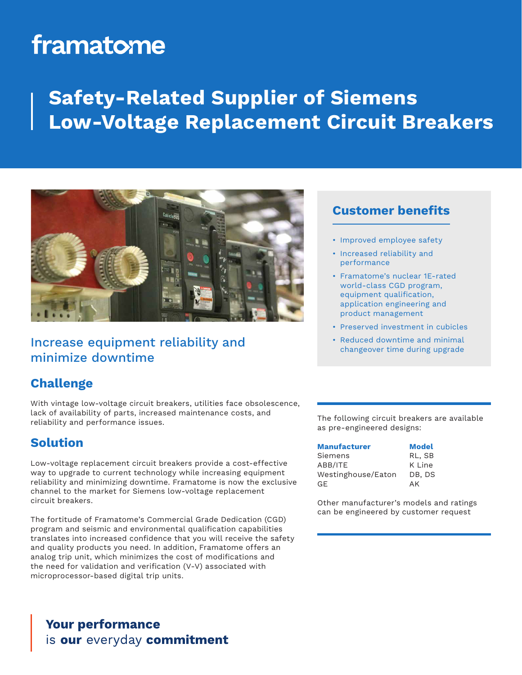# framatome

## **Safety-Related Supplier of Siemens Low-Voltage Replacement Circuit Breakers**



## Increase equipment reliability and minimize downtime

### **Customer benefits**

- Improved employee safety
- Increased reliability and performance
- Framatome's nuclear 1E-rated world-class CGD program, equipment qualification, application engineering and product management
- Preserved investment in cubicles
- Reduced downtime and minimal changeover time during upgrade

## **Challenge**

With vintage low-voltage circuit breakers, utilities face obsolescence, lack of availability of parts, increased maintenance costs, and reliability and performance issues.

### **Solution**

Low-voltage replacement circuit breakers provide a cost-effective way to upgrade to current technology while increasing equipment reliability and minimizing downtime. Framatome is now the exclusive channel to the market for Siemens low-voltage replacement circuit breakers.

The fortitude of Framatome's Commercial Grade Dedication (CGD) program and seismic and environmental qualification capabilities translates into increased confidence that you will receive the safety and quality products you need. In addition, Framatome offers an analog trip unit, which minimizes the cost of modifications and the need for validation and verification (V-V) associated with microprocessor-based digital trip units.

The following circuit breakers are available as pre-engineered designs:

| Manufacturer       | <b>Model</b> |
|--------------------|--------------|
| Siemens            | RL, SB       |
| ABB/ITE            | K Line       |
| Westinghouse/Eaton | DB, DS       |
| GE.                | AK           |

Other manufacturer's models and ratings can be engineered by customer request